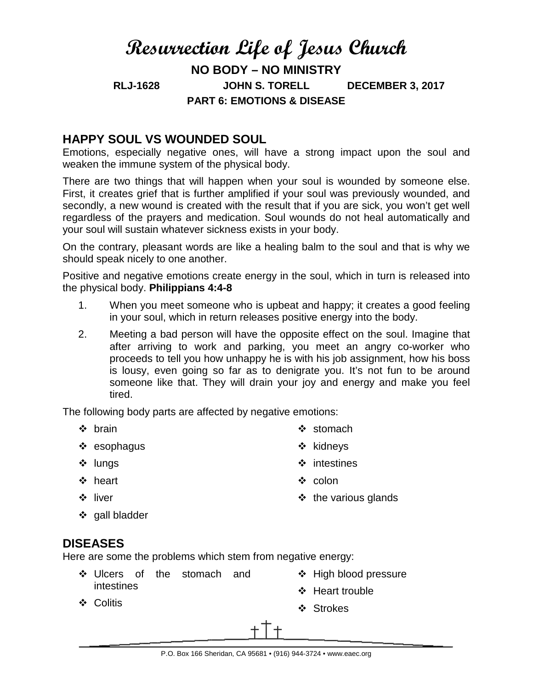# **Resurrection Life of Jesus Church**

**NO BODY – NO MINISTRY RLJ-1628 JOHN S. TORELL DECEMBER 3, 2017 PART 6: EMOTIONS & DISEASE**

# **HAPPY SOUL VS WOUNDED SOUL**

Emotions, especially negative ones, will have a strong impact upon the soul and weaken the immune system of the physical body.

There are two things that will happen when your soul is wounded by someone else. First, it creates grief that is further amplified if your soul was previously wounded, and secondly, a new wound is created with the result that if you are sick, you won't get well regardless of the prayers and medication. Soul wounds do not heal automatically and your soul will sustain whatever sickness exists in your body.

On the contrary, pleasant words are like a healing balm to the soul and that is why we should speak nicely to one another.

Positive and negative emotions create energy in the soul, which in turn is released into the physical body. **Philippians 4:4-8**

- 1. When you meet someone who is upbeat and happy; it creates a good feeling in your soul, which in return releases positive energy into the body.
- 2. Meeting a bad person will have the opposite effect on the soul. Imagine that after arriving to work and parking, you meet an angry co-worker who proceeds to tell you how unhappy he is with his job assignment, how his boss is lousy, even going so far as to denigrate you. It's not fun to be around someone like that. They will drain your joy and energy and make you feel tired.

The following body parts are affected by negative emotions:

- ❖ brain
- ❖ esophagus
- ❖ lungs
- ❖ heart
- ❖ liver

 $\div$  the various glands

❖ stomach

❖ kidneys

 $\cdot \cdot$  colon

 $\div$  intestines

❖ gall bladder

# **DISEASES**

Here are some the problems which stem from negative energy:

- Ulcers of the stomach and intestines
- ❖ High blood pressure
- ❖ Heart trouble

Colitis

❖ Strokes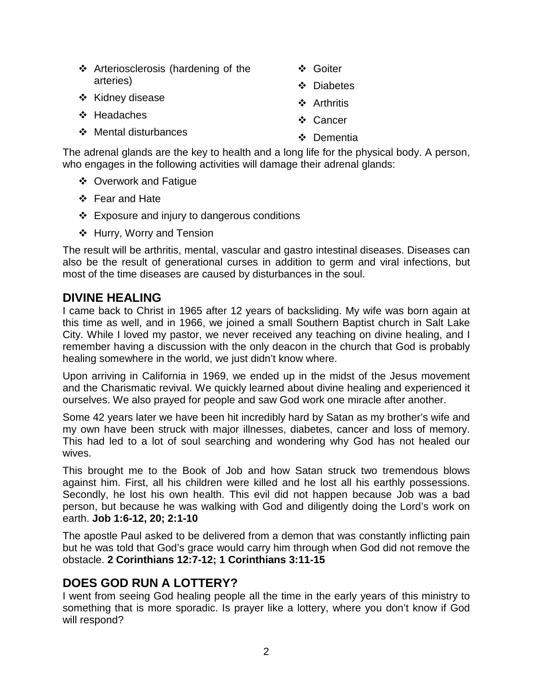| ❖ Arteriosclerosis (hardening of the<br>arteries) | ❖ Goiter    |
|---------------------------------------------------|-------------|
|                                                   | ❖ Diabetes  |
| ❖ Kidney disease                                  | ❖ Arthritis |
| ❖ Headaches                                       | ❖ Cancer    |
| ❖ Mental disturbances                             | ❖ Dementia  |

The adrenal glands are the key to health and a long life for the physical body. A person, who engages in the following activities will damage their adrenal glands:

- ❖ Overwork and Fatigue
- Fear and Hate
- Exposure and injury to dangerous conditions
- ❖ Hurry, Worry and Tension

The result will be arthritis, mental, vascular and gastro intestinal diseases. Diseases can also be the result of generational curses in addition to germ and viral infections, but most of the time diseases are caused by disturbances in the soul.

## **DIVINE HEALING**

I came back to Christ in 1965 after 12 years of backsliding. My wife was born again at this time as well, and in 1966, we joined a small Southern Baptist church in Salt Lake City. While I loved my pastor, we never received any teaching on divine healing, and I remember having a discussion with the only deacon in the church that God is probably healing somewhere in the world, we just didn't know where.

Upon arriving in California in 1969, we ended up in the midst of the Jesus movement and the Charismatic revival. We quickly learned about divine healing and experienced it ourselves. We also prayed for people and saw God work one miracle after another.

Some 42 years later we have been hit incredibly hard by Satan as my brother's wife and my own have been struck with major illnesses, diabetes, cancer and loss of memory. This had led to a lot of soul searching and wondering why God has not healed our wives.

This brought me to the Book of Job and how Satan struck two tremendous blows against him. First, all his children were killed and he lost all his earthly possessions. Secondly, he lost his own health. This evil did not happen because Job was a bad person, but because he was walking with God and diligently doing the Lord's work on earth. **Job 1:6-12, 20; 2:1-10**

The apostle Paul asked to be delivered from a demon that was constantly inflicting pain but he was told that God's grace would carry him through when God did not remove the obstacle. **2 Corinthians 12:7-12; 1 Corinthians 3:11-15**

# **DOES GOD RUN A LOTTERY?**

I went from seeing God healing people all the time in the early years of this ministry to something that is more sporadic. Is prayer like a lottery, where you don't know if God will respond?